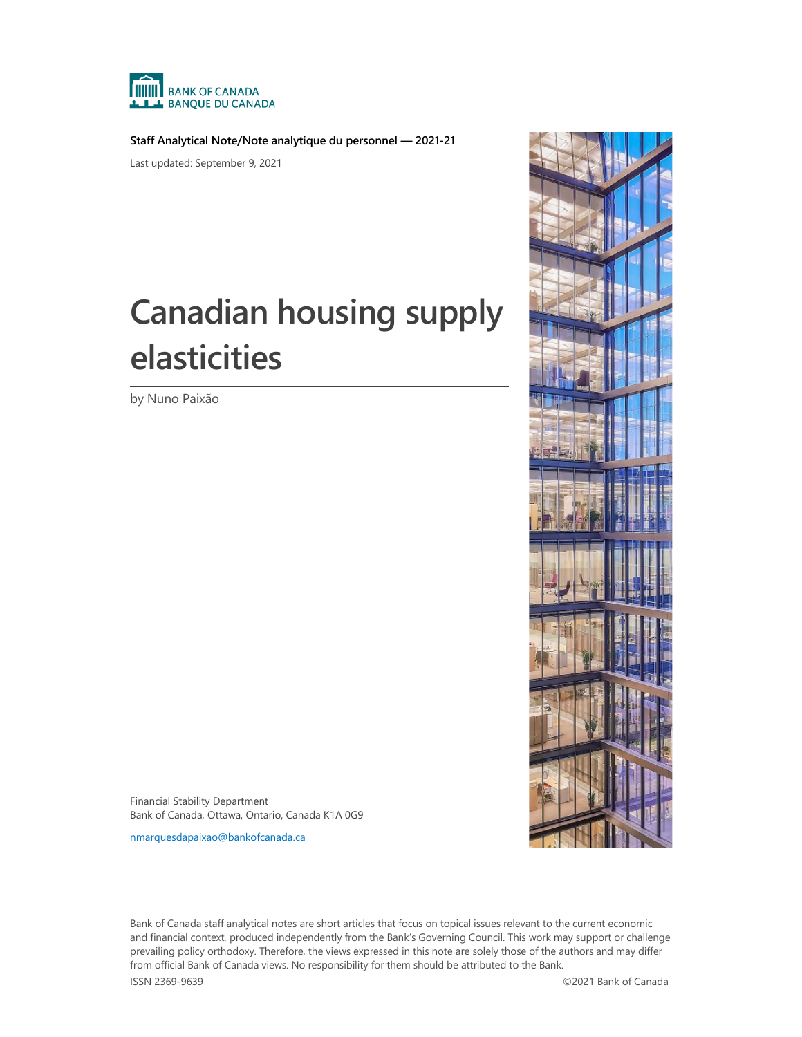

**Staff Analytical Note/Note analytique du personnel — 2021-21**

Last updated: September 9, 2021

# **Canadian housing supply elasticities**

by Nuno Paixão



Financial Stability Department Bank of Canada, Ottawa, Ontario, Canada K1A 0G9

[nmarquesdapaixao@bankofcanada.ca](mailto:nmarquesdapaixao@bankofcanada.ca)

Bank of Canada staff analytical notes are short articles that focus on topical issues relevant to the current economic and financial context, produced independently from the Bank's Governing Council. This work may support or challenge prevailing policy orthodoxy. Therefore, the views expressed in this note are solely those of the authors and may differ from official Bank of Canada views. No responsibility for them should be attributed to the Bank.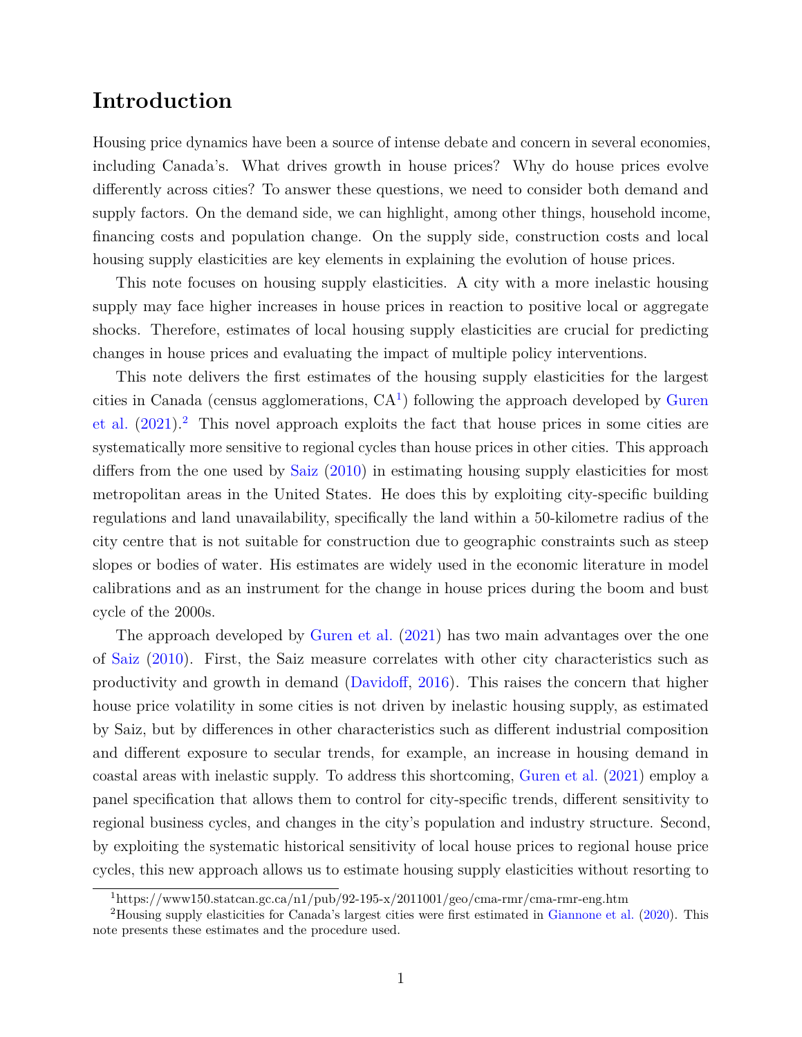#### **Introduction**

Housing price dynamics have been a source of intense debate and concern in several economies, including Canada's. What drives growth in house prices? Why do house prices evolve differently across cities? To answer these questions, we need to consider both demand and supply factors. On the demand side, we can highlight, among other things, household income, financing costs and population change. On the supply side, construction costs and local housing supply elasticities are key elements in explaining the evolution of house prices.

This note focuses on housing supply elasticities. A city with a more inelastic housing supply may face higher increases in house prices in reaction to positive local or aggregate shocks. Therefore, estimates of local housing supply elasticities are crucial for predicting changes in house prices and evaluating the impact of multiple policy interventions.

This note delivers the first estimates of the housing supply elasticities for the largest cities in Canada (census agglomerations,  $CA<sup>1</sup>$  $CA<sup>1</sup>$  $CA<sup>1</sup>$ ) following the approach developed by [Guren](#page--1-0) [et al.](#page--1-0)  $(2021)^2$  $(2021)^2$  $(2021)^2$  This novel approach exploits the fact that house prices in some cities are systematically more sensitive to regional cycles than house prices in other cities. This approach differs from the one used by [Saiz](#page--1-1) [\(2010\)](#page--1-1) in estimating housing supply elasticities for most metropolitan areas in the United States. He does this by exploiting city-specific building regulations and land unavailability, specifically the land within a 50-kilometre radius of the city centre that is not suitable for construction due to geographic constraints such as steep slopes or bodies of water. His estimates are widely used in the economic literature in model calibrations and as an instrument for the change in house prices during the boom and bust cycle of the 2000s.

The approach developed by [Guren et al.](#page--1-0) [\(2021\)](#page--1-0) has two main advantages over the one of [Saiz](#page--1-1) [\(2010\)](#page--1-1). First, the Saiz measure correlates with other city characteristics such as productivity and growth in demand [\(Davidoff,](#page--1-2) [2016\)](#page--1-2). This raises the concern that higher house price volatility in some cities is not driven by inelastic housing supply, as estimated by Saiz, but by differences in other characteristics such as different industrial composition and different exposure to secular trends, for example, an increase in housing demand in coastal areas with inelastic supply. To address this shortcoming, [Guren et al.](#page--1-0) [\(2021\)](#page--1-0) employ a panel specification that allows them to control for city-specific trends, different sensitivity to regional business cycles, and changes in the city's population and industry structure. Second, by exploiting the systematic historical sensitivity of local house prices to regional house price cycles, this new approach allows us to estimate housing supply elasticities without resorting to

<span id="page-1-1"></span><span id="page-1-0"></span> $1$ https://www150.statcan.gc.ca/n1/pub/92-195-x/2011001/geo/cma-rmr/cma-rmr-eng.htm

<sup>2</sup>Housing supply elasticities for Canada's largest cities were first estimated in [Giannone et al.](#page--1-3) [\(2020\)](#page--1-3). This note presents these estimates and the procedure used.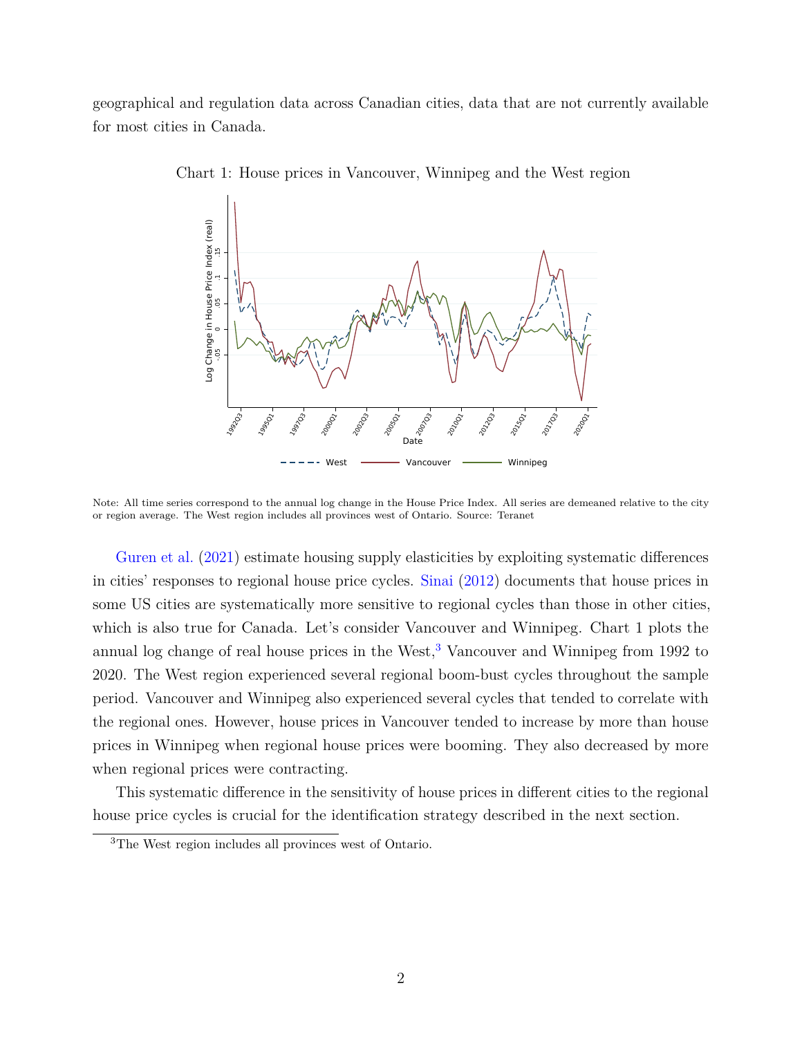geographical and regulation data across Canadian cities, data that are not currently available for most cities in Canada.



Chart 1: House prices in Vancouver, Winnipeg and the West region

Note: All time series correspond to the annual log change in the House Price Index. All series are demeaned relative to the city or region average. The West region includes all provinces west of Ontario. Source: Teranet

[Guren et al.](#page--1-0) [\(2021\)](#page--1-0) estimate housing supply elasticities by exploiting systematic differences in cities' responses to regional house price cycles. [Sinai](#page--1-4) [\(2012\)](#page--1-4) documents that house prices in some US cities are systematically more sensitive to regional cycles than those in other cities, which is also true for Canada. Let's consider Vancouver and Winnipeg. Chart 1 plots the annual log change of real house prices in the West, $3$  Vancouver and Winnipeg from 1992 to 2020. The West region experienced several regional boom-bust cycles throughout the sample period. Vancouver and Winnipeg also experienced several cycles that tended to correlate with the regional ones. However, house prices in Vancouver tended to increase by more than house prices in Winnipeg when regional house prices were booming. They also decreased by more when regional prices were contracting.

This systematic difference in the sensitivity of house prices in different cities to the regional house price cycles is crucial for the identification strategy described in the next section.

<span id="page-2-0"></span><sup>3</sup>The West region includes all provinces west of Ontario.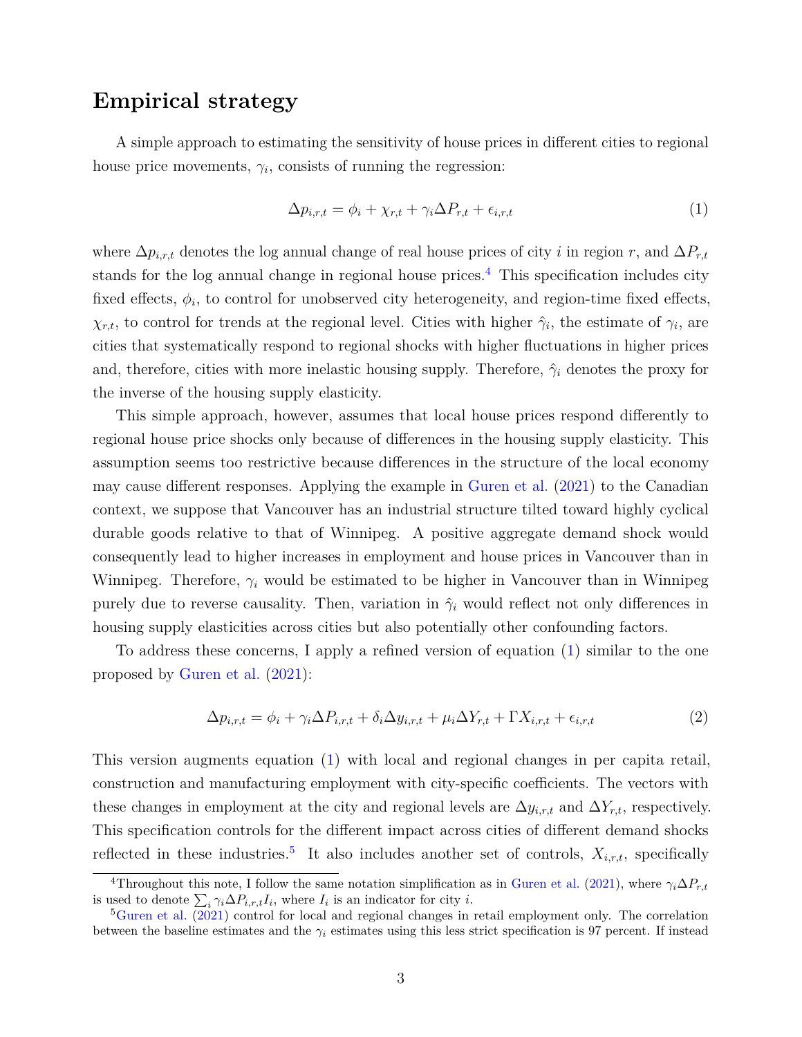#### **Empirical strategy**

A simple approach to estimating the sensitivity of house prices in different cities to regional house price movements,  $\gamma_i$ , consists of running the regression:

<span id="page-3-1"></span>
$$
\Delta p_{i,r,t} = \phi_i + \chi_{r,t} + \gamma_i \Delta P_{r,t} + \epsilon_{i,r,t} \tag{1}
$$

where  $\Delta p_{i,r,t}$  denotes the log annual change of real house prices of city *i* in region *r*, and  $\Delta P_{r,t}$ stands for the log annual change in regional house prices.<sup>[4](#page-3-0)</sup> This specification includes city fixed effects,  $\phi_i$ , to control for unobserved city heterogeneity, and region-time fixed effects,  $\chi_{r,t}$ , to control for trends at the regional level. Cities with higher  $\hat{\gamma}_i$ , the estimate of  $\gamma_i$ , are cities that systematically respond to regional shocks with higher fluctuations in higher prices and, therefore, cities with more inelastic housing supply. Therefore,  $\hat{\gamma}_i$  denotes the proxy for the inverse of the housing supply elasticity.

This simple approach, however, assumes that local house prices respond differently to regional house price shocks only because of differences in the housing supply elasticity. This assumption seems too restrictive because differences in the structure of the local economy may cause different responses. Applying the example in [Guren et al.](#page--1-0) [\(2021\)](#page--1-0) to the Canadian context, we suppose that Vancouver has an industrial structure tilted toward highly cyclical durable goods relative to that of Winnipeg. A positive aggregate demand shock would consequently lead to higher increases in employment and house prices in Vancouver than in Winnipeg. Therefore, *γ<sup>i</sup>* would be estimated to be higher in Vancouver than in Winnipeg purely due to reverse causality. Then, variation in  $\hat{\gamma}_i$  would reflect not only differences in housing supply elasticities across cities but also potentially other confounding factors.

To address these concerns, I apply a refined version of equation [\(1\)](#page-3-1) similar to the one proposed by [Guren et al.](#page--1-0) [\(2021\)](#page--1-0):

<span id="page-3-3"></span>
$$
\Delta p_{i,r,t} = \phi_i + \gamma_i \Delta P_{i,r,t} + \delta_i \Delta y_{i,r,t} + \mu_i \Delta Y_{r,t} + \Gamma X_{i,r,t} + \epsilon_{i,r,t}
$$
\n<sup>(2)</sup>

This version augments equation [\(1\)](#page-3-1) with local and regional changes in per capita retail, construction and manufacturing employment with city-specific coefficients. The vectors with these changes in employment at the city and regional levels are  $\Delta y_{i,r,t}$  and  $\Delta Y_{r,t}$ , respectively. This specification controls for the different impact across cities of different demand shocks reflected in these industries.<sup>[5](#page-3-2)</sup> It also includes another set of controls,  $X_{i,r,t}$ , specifically

<span id="page-3-0"></span><sup>&</sup>lt;sup>4</sup>Throughout this note, I follow the same notation simplification as in [Guren et al.](#page--1-0) [\(2021\)](#page--1-0), where  $\gamma_i \Delta P_{r,t}$ is used to denote  $\sum_i \gamma_i \Delta P_{i,r,t} I_i$ , where  $I_i$  is an indicator for city *i*.

<span id="page-3-2"></span> ${}^{5}$ [Guren et al.](#page--1-0)  $\overline{(2021)}$  $\overline{(2021)}$  $\overline{(2021)}$  control for local and regional changes in retail employment only. The correlation between the baseline estimates and the  $\gamma_i$  estimates using this less strict specification is 97 percent. If instead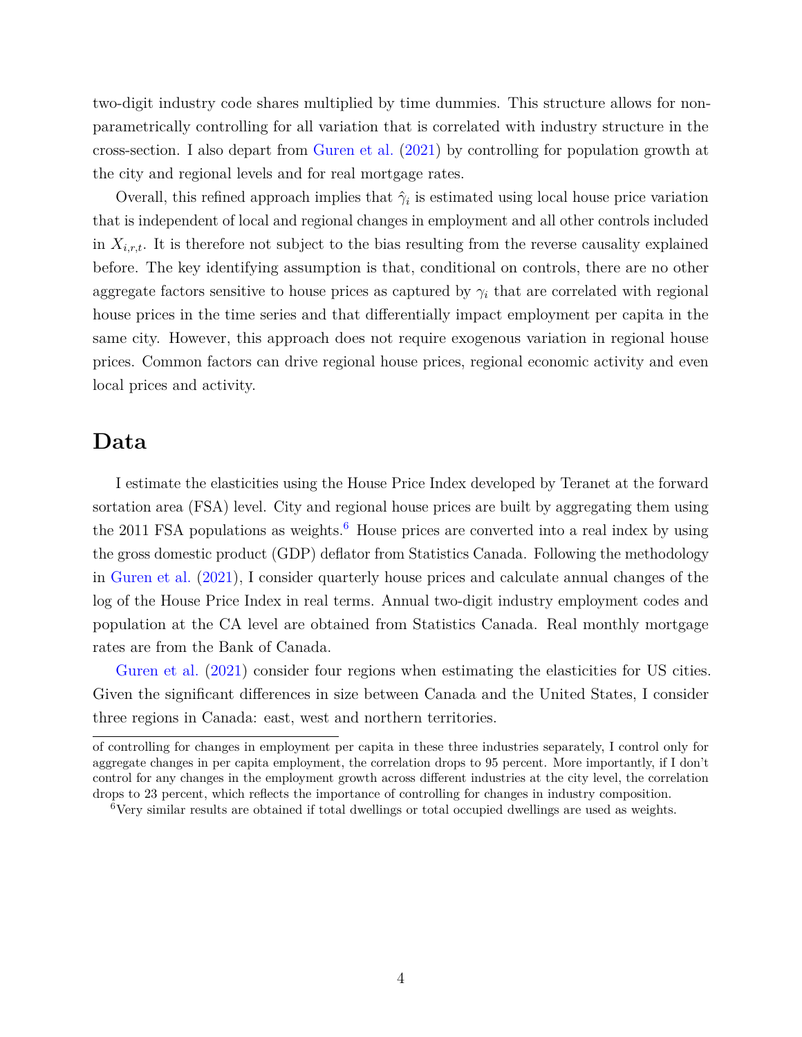two-digit industry code shares multiplied by time dummies. This structure allows for nonparametrically controlling for all variation that is correlated with industry structure in the cross-section. I also depart from [Guren et al.](#page--1-0) [\(2021\)](#page--1-0) by controlling for population growth at the city and regional levels and for real mortgage rates.

Overall, this refined approach implies that  $\hat{\gamma}_i$  is estimated using local house price variation that is independent of local and regional changes in employment and all other controls included in  $X_{i,r,t}$ . It is therefore not subject to the bias resulting from the reverse causality explained before. The key identifying assumption is that, conditional on controls, there are no other aggregate factors sensitive to house prices as captured by  $\gamma_i$  that are correlated with regional house prices in the time series and that differentially impact employment per capita in the same city. However, this approach does not require exogenous variation in regional house prices. Common factors can drive regional house prices, regional economic activity and even local prices and activity.

#### **Data**

I estimate the elasticities using the House Price Index developed by Teranet at the forward sortation area (FSA) level. City and regional house prices are built by aggregating them using the 2011 FSA populations as weights.<sup>[6](#page-4-0)</sup> House prices are converted into a real index by using the gross domestic product (GDP) deflator from Statistics Canada. Following the methodology in [Guren et al.](#page--1-0) [\(2021\)](#page--1-0), I consider quarterly house prices and calculate annual changes of the log of the House Price Index in real terms. Annual two-digit industry employment codes and population at the CA level are obtained from Statistics Canada. Real monthly mortgage rates are from the Bank of Canada.

[Guren et al.](#page--1-0)  $(2021)$  consider four regions when estimating the elasticities for US cities. Given the significant differences in size between Canada and the United States, I consider three regions in Canada: east, west and northern territories.

of controlling for changes in employment per capita in these three industries separately, I control only for aggregate changes in per capita employment, the correlation drops to 95 percent. More importantly, if I don't control for any changes in the employment growth across different industries at the city level, the correlation drops to 23 percent, which reflects the importance of controlling for changes in industry composition.

<span id="page-4-0"></span><sup>6</sup>Very similar results are obtained if total dwellings or total occupied dwellings are used as weights.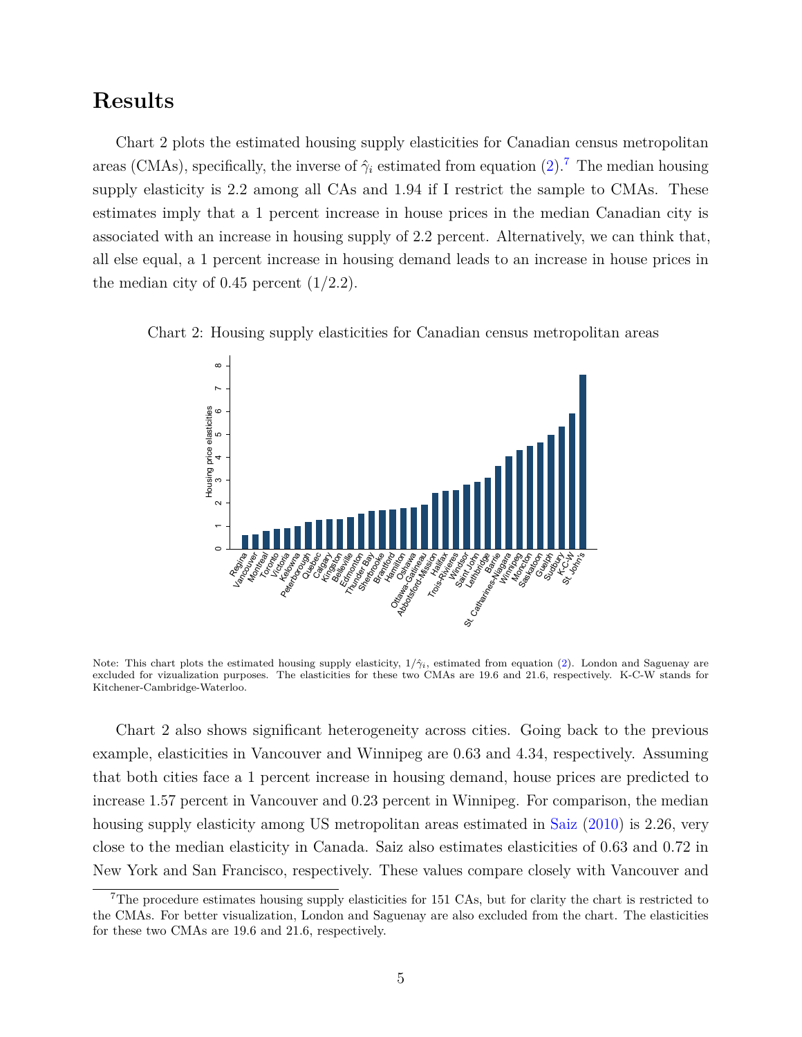#### **Results**

Chart 2 plots the estimated housing supply elasticities for Canadian census metropolitan areas (CMAs), specifically, the inverse of  $\hat{\gamma}_i$  estimated from equation [\(2\)](#page-3-3).<sup>[7](#page-5-0)</sup> The median housing supply elasticity is 2.2 among all CAs and 1.94 if I restrict the sample to CMAs. These estimates imply that a 1 percent increase in house prices in the median Canadian city is associated with an increase in housing supply of 2.2 percent. Alternatively, we can think that, all else equal, a 1 percent increase in housing demand leads to an increase in house prices in the median city of  $0.45$  percent  $(1/2.2)$ .





Note: This chart plots the estimated housing supply elasticity, 1*/γ*ˆ*i*, estimated from equation [\(2\)](#page-3-3). London and Saguenay are excluded for vizualization purposes. The elasticities for these two CMAs are 19.6 and 21.6, respectively. K-C-W stands for Kitchener-Cambridge-Waterloo.

Chart 2 also shows significant heterogeneity across cities. Going back to the previous example, elasticities in Vancouver and Winnipeg are 0.63 and 4.34, respectively. Assuming that both cities face a 1 percent increase in housing demand, house prices are predicted to increase 1.57 percent in Vancouver and 0.23 percent in Winnipeg. For comparison, the median housing supply elasticity among US metropolitan areas estimated in [Saiz](#page--1-1) [\(2010\)](#page--1-1) is 2.26, very close to the median elasticity in Canada. Saiz also estimates elasticities of 0.63 and 0.72 in New York and San Francisco, respectively. These values compare closely with Vancouver and

<span id="page-5-0"></span><sup>&</sup>lt;sup>7</sup>The procedure estimates housing supply elasticities for 151 CAs, but for clarity the chart is restricted to the CMAs. For better visualization, London and Saguenay are also excluded from the chart. The elasticities for these two CMAs are 19.6 and 21.6, respectively.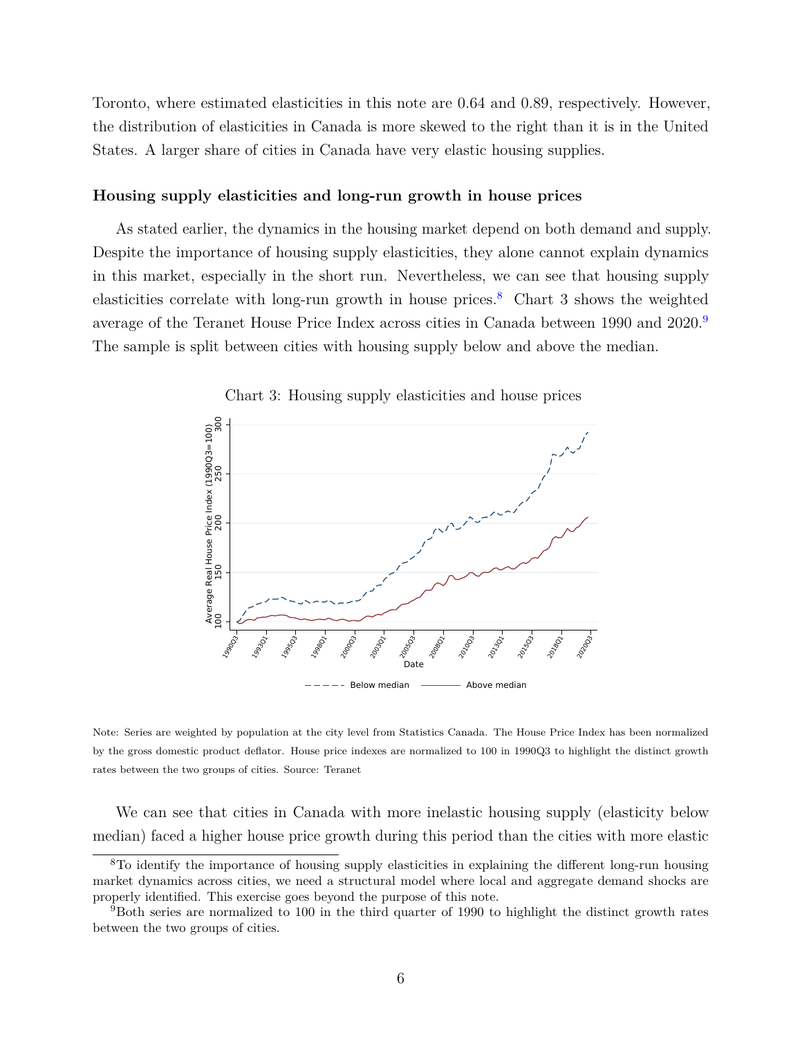Toronto, where estimated elasticities in this note are 0.64 and 0.89, respectively. However, the distribution of elasticities in Canada is more skewed to the right than it is in the United States. A larger share of cities in Canada have very elastic housing supplies.

#### **Housing supply elasticities and long-run growth in house prices**

As stated earlier, the dynamics in the housing market depend on both demand and supply. Despite the importance of housing supply elasticities, they alone cannot explain dynamics in this market, especially in the short run. Nevertheless, we can see that housing supply elasticities correlate with long-run growth in house prices.<sup>[8](#page-6-0)</sup> Chart 3 shows the weighted average of the Teranet House Price Index across cities in Canada between 1[9](#page-6-1)90 and 2020.<sup>9</sup> The sample is split between cities with housing supply below and above the median.



Chart 3: Housing supply elasticities and house prices

Note: Series are weighted by population at the city level from Statistics Canada. The House Price Index has been normalized by the gross domestic product deflator. House price indexes are normalized to 100 in 1990Q3 to highlight the distinct growth rates between the two groups of cities. Source: Teranet

We can see that cities in Canada with more inelastic housing supply (elasticity below median) faced a higher house price growth during this period than the cities with more elastic

<span id="page-6-0"></span><sup>8</sup>To identify the importance of housing supply elasticities in explaining the different long-run housing market dynamics across cities, we need a structural model where local and aggregate demand shocks are properly identified. This exercise goes beyond the purpose of this note.

<span id="page-6-1"></span><sup>9</sup>Both series are normalized to 100 in the third quarter of 1990 to highlight the distinct growth rates between the two groups of cities.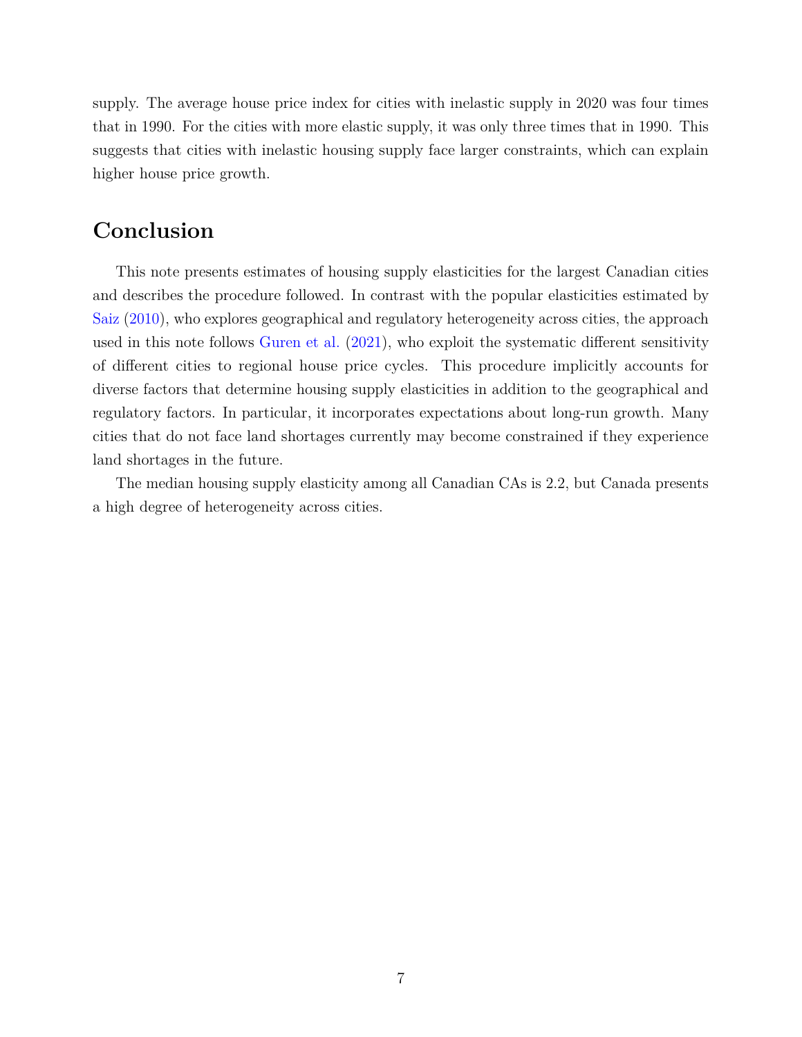supply. The average house price index for cities with inelastic supply in 2020 was four times that in 1990. For the cities with more elastic supply, it was only three times that in 1990. This suggests that cities with inelastic housing supply face larger constraints, which can explain higher house price growth.

### **Conclusion**

This note presents estimates of housing supply elasticities for the largest Canadian cities and describes the procedure followed. In contrast with the popular elasticities estimated by [Saiz](#page--1-1) [\(2010\)](#page--1-1), who explores geographical and regulatory heterogeneity across cities, the approach used in this note follows [Guren et al.](#page--1-0) [\(2021\)](#page--1-0), who exploit the systematic different sensitivity of different cities to regional house price cycles. This procedure implicitly accounts for diverse factors that determine housing supply elasticities in addition to the geographical and regulatory factors. In particular, it incorporates expectations about long-run growth. Many cities that do not face land shortages currently may become constrained if they experience land shortages in the future.

The median housing supply elasticity among all Canadian CAs is 2.2, but Canada presents a high degree of heterogeneity across cities.